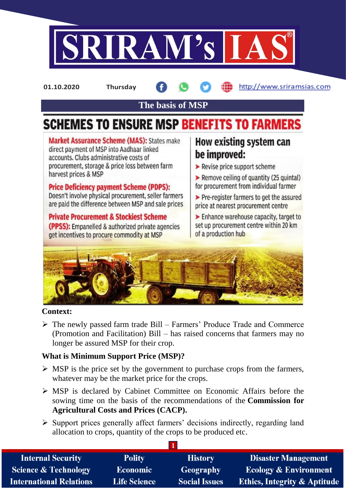

**01.10.2020 Thursday**

http://www.sriramsias.com

**The basis of MSP**

# **SCHEMES TO ENSURE MSP BENEFITS TO FARMERS**

**Market Assurance Scheme (MAS): States make** direct payment of MSP into Aadhaar linked accounts. Clubs administrative costs of procurement, storage & price loss between farm harvest prices & MSP

**Price Deficiency payment Scheme (PDPS):** Doesn't involve physical procurement, seller farmers are paid the difference between MSP and sale prices

**Private Procurement & Stockiest Scheme (PPSS):** Empanelled & authorized private agencies get incentives to procure commodity at MSP

# How existing system can be improved:

- $\blacktriangleright$  Revise price support scheme
- Remove ceiling of quantity (25 quintal) for procurement from individual farmer
- > Pre-register farmers to get the assured price at nearest procurement centre

 $\blacktriangleright$  Enhance warehouse capacity, target to set up procurement centre within 20 km of a production hub



### **Context:**

 $\triangleright$  The newly passed farm trade Bill – Farmers' Produce Trade and Commerce (Promotion and Facilitation) Bill – has raised concerns that farmers may no longer be assured MSP for their crop.

# **What is Minimum Support Price (MSP)?**

- $\triangleright$  MSP is the price set by the government to purchase crops from the farmers, whatever may be the market price for the crops.
- MSP is declared by Cabinet Committee on Economic Affairs before the sowing time on the basis of the recommendations of the **Commission for Agricultural Costs and Prices (CACP).**
- $\triangleright$  Support prices generally affect farmers' decisions indirectly, regarding land allocation to crops, quantity of the crops to be produced etc.

| <b>Internal Security</b>        | <b>Polity</b>       | <b>History</b>       | <b>Disaster Management</b>              |
|---------------------------------|---------------------|----------------------|-----------------------------------------|
| <b>Science &amp; Technology</b> | <b>Economic</b>     | <b>Geography</b>     | <b>Ecology &amp; Environment</b>        |
| <b>International Relations</b>  | <b>Life Science</b> | <b>Social Issues</b> | <b>Ethics, Integrity &amp; Aptitude</b> |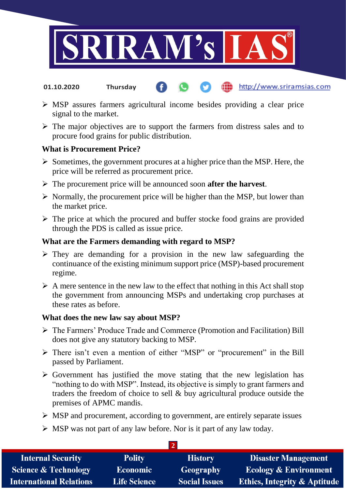

- http://www.sriramsias.com **01.10.2020 Thursday**
- MSP assures farmers agricultural income besides providing a clear price signal to the market.
- $\triangleright$  The major objectives are to support the farmers from distress sales and to procure food grains for public distribution.

#### **What is Procurement Price?**

- $\triangleright$  Sometimes, the government procures at a higher price than the MSP. Here, the price will be referred as procurement price.
- The procurement price will be announced soon **after the harvest**.
- $\triangleright$  Normally, the procurement price will be higher than the MSP, but lower than the market price.
- $\triangleright$  The price at which the procured and buffer stocke food grains are provided through the PDS is called as issue price.

#### **What are the Farmers demanding with regard to MSP?**

- $\triangleright$  They are demanding for a provision in the new law safeguarding the continuance of the existing minimum support price (MSP)-based procurement regime.
- $\triangleright$  A mere sentence in the new law to the effect that nothing in this Act shall stop the government from announcing MSPs and undertaking crop purchases at these rates as before.

#### **What does the new law say about MSP?**

- The Farmers' Produce Trade and Commerce (Promotion and Facilitation) Bill does not give any statutory backing to MSP.
- $\triangleright$  There isn't even a mention of either "MSP" or "procurement" in the Bill passed by Parliament.
- $\triangleright$  Government has justified the move stating that the new legislation has "nothing to do with MSP". Instead, its objective is simply to grant farmers and traders the freedom of choice to sell & buy agricultural produce outside the premises of APMC mandis.
- $\triangleright$  MSP and procurement, according to government, are entirely separate issues

**2** 

 $\triangleright$  MSP was not part of any law before. Nor is it part of any law today.

| <b>Internal Security</b>        | <b>Polity</b>       | <b>History</b>       | <b>Disaster Management</b>              |  |  |  |
|---------------------------------|---------------------|----------------------|-----------------------------------------|--|--|--|
| <b>Science &amp; Technology</b> | <b>Economic</b>     | Geography            | <b>Ecology &amp; Environment</b>        |  |  |  |
| <b>International Relations</b>  | <b>Life Science</b> | <b>Social Issues</b> | <b>Ethics, Integrity &amp; Aptitude</b> |  |  |  |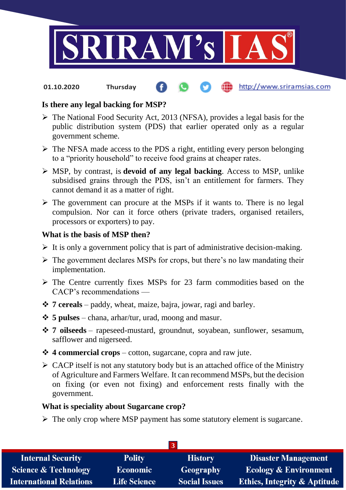

http://www.sriramsias.com **01.10.2020 Thursday**

# **Is there any legal backing for MSP?**

- $\triangleright$  The National Food Security Act, 2013 (NFSA), provides a legal basis for the public distribution system (PDS) that earlier operated only as a regular government scheme.
- $\triangleright$  The NFSA made access to the PDS a right, entitling every person belonging to a "priority household" to receive food grains at cheaper rates.
- MSP, by contrast, is **devoid of any legal backing**. Access to MSP, unlike subsidised grains through the PDS, isn't an entitlement for farmers. They cannot demand it as a matter of right.
- $\triangleright$  The government can procure at the MSPs if it wants to. There is no legal compulsion. Nor can it force others (private traders, organised retailers, processors or exporters) to pay.

#### **What is the basis of MSP then?**

- $\triangleright$  It is only a government policy that is part of administrative decision-making.
- $\triangleright$  The government declares MSPs for crops, but there's no law mandating their implementation.
- $\triangleright$  The Centre currently fixes MSPs for 23 farm commodities based on the CACP's recommendations —
- **7 cereals** paddy, wheat, maize, bajra, jowar, ragi and barley.
- **5 pulses** chana, arhar/tur, urad, moong and masur.
- **7 oilseeds** rapeseed-mustard, groundnut, soyabean, sunflower, sesamum, safflower and nigerseed.
- **4 commercial crops** cotton, sugarcane, copra and raw jute.
- $\triangleright$  CACP itself is not any statutory body but is an attached office of the Ministry of Agriculture and Farmers Welfare. It can recommend MSPs, but the decision on fixing (or even not fixing) and enforcement rests finally with the government.

#### **What is speciality about Sugarcane crop?**

 $\triangleright$  The only crop where MSP payment has some statutory element is sugarcane.

| <b>Internal Security</b>        | <b>Polity</b>       | <b>History</b>       | <b>Disaster Management</b>              |  |  |  |
|---------------------------------|---------------------|----------------------|-----------------------------------------|--|--|--|
| <b>Science &amp; Technology</b> | <b>Economic</b>     | Geography            | <b>Ecology &amp; Environment</b>        |  |  |  |
| <b>International Relations</b>  | <b>Life Science</b> | <b>Social Issues</b> | <b>Ethics, Integrity &amp; Aptitude</b> |  |  |  |